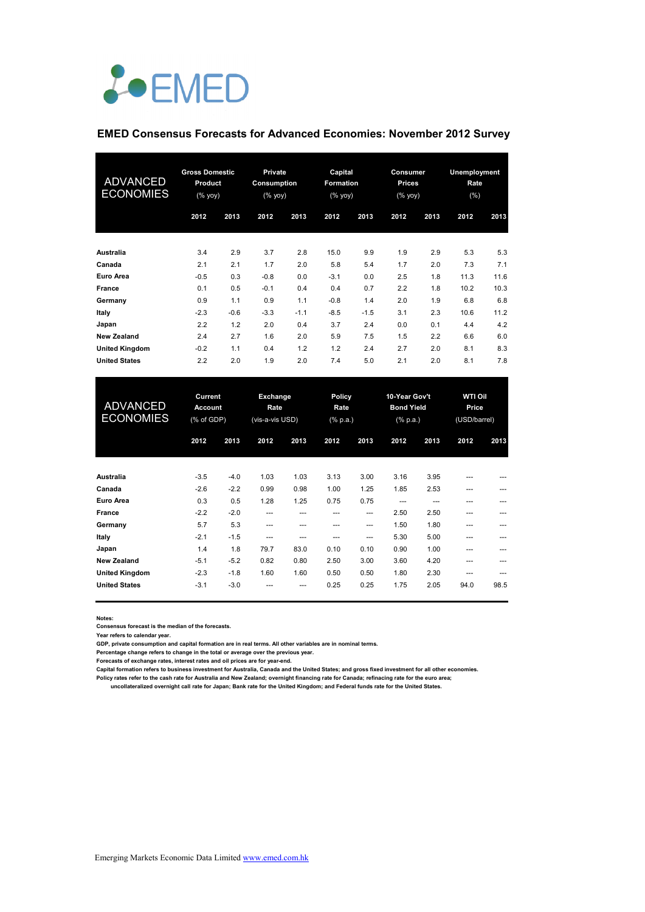# *L*•EMED

#### **EMED Consensus Forecasts for Advanced Economies: November 2012 Survey**

| <b>ADVANCED</b><br><b>ECONOMIES</b> | <b>Gross Domestic</b><br>Product<br>$(% \mathsf{Y}\rightarrow \mathsf{Y})$ (% yoy) |        |        |        | <b>Private</b><br>Consumption<br>$(% \mathsf{Y}^{\prime }\mathsf{Y}^{\prime }\mathsf{Y}^{\prime })$ |        | Capital<br><b>Formation</b><br>(% yoy) |      | Consumer<br>Prices<br>(% yoy) |      | <b>Unemployment</b><br>Rate<br>(% ) |  |
|-------------------------------------|------------------------------------------------------------------------------------|--------|--------|--------|-----------------------------------------------------------------------------------------------------|--------|----------------------------------------|------|-------------------------------|------|-------------------------------------|--|
|                                     | 2012                                                                               | 2013   | 2012   | 2013   | 2012                                                                                                | 2013   | 2012                                   | 2013 | 2012                          | 2013 |                                     |  |
| Australia                           | 3.4                                                                                | 2.9    | 3.7    | 2.8    | 15.0                                                                                                | 9.9    | 1.9                                    | 2.9  | 5.3                           | 5.3  |                                     |  |
| Canada                              | 2.1                                                                                | 2.1    | 1.7    | 2.0    | 5.8                                                                                                 | 5.4    | 1.7                                    | 2.0  | 7.3                           | 7.1  |                                     |  |
| Euro Area                           | $-0.5$                                                                             | 0.3    | $-0.8$ | 0.0    | $-3.1$                                                                                              | 0.0    | 2.5                                    | 1.8  | 11.3                          | 11.6 |                                     |  |
| France                              | 0.1                                                                                | 0.5    | $-0.1$ | 0.4    | 0.4                                                                                                 | 0.7    | 2.2                                    | 1.8  | 10.2                          | 10.3 |                                     |  |
| Germany                             | 0.9                                                                                | 1.1    | 0.9    | 1.1    | $-0.8$                                                                                              | 1.4    | 2.0                                    | 1.9  | 6.8                           | 6.8  |                                     |  |
| Italy                               | $-2.3$                                                                             | $-0.6$ | $-3.3$ | $-1.1$ | $-8.5$                                                                                              | $-1.5$ | 3.1                                    | 2.3  | 10.6                          | 11.2 |                                     |  |
| Japan                               | 2.2                                                                                | 1.2    | 2.0    | 0.4    | 3.7                                                                                                 | 2.4    | 0.0                                    | 0.1  | 4.4                           | 4.2  |                                     |  |
| <b>New Zealand</b>                  | 2.4                                                                                | 2.7    | 1.6    | 2.0    | 5.9                                                                                                 | 7.5    | 1.5                                    | 2.2  | 6.6                           | 6.0  |                                     |  |
| <b>United Kingdom</b>               | $-0.2$                                                                             | 1.1    | 0.4    | 1.2    | 1.2                                                                                                 | 2.4    | 2.7                                    | 2.0  | 8.1                           | 8.3  |                                     |  |
| <b>United States</b>                | 2.2                                                                                | 2.0    | 1.9    | 2.0    | 7.4                                                                                                 | 5.0    | 2.1                                    | 2.0  | 8.1                           | 7.8  |                                     |  |

| <b>ADVANCED</b><br><b>ECONOMIES</b> | Current<br><b>Account</b><br>(% of GDP) |        | Exchange<br>Rate<br>(vis-a-vis USD) |      | Policy<br>Rate<br>(% p.a.) |                        | 10-Year Gov't<br><b>Bond Yield</b><br>$(% \mathbb{R}^2)$ (% p.a.) |      | <b>WTI Oil</b><br>Price<br>(USD/barrel) |      |
|-------------------------------------|-----------------------------------------|--------|-------------------------------------|------|----------------------------|------------------------|-------------------------------------------------------------------|------|-----------------------------------------|------|
|                                     | 2012                                    | 2013   | 2012                                | 2013 | 2012                       | 2013                   | 2012                                                              | 2013 | 2012                                    | 2013 |
| <b>Australia</b>                    | $-3.5$                                  | $-4.0$ | 1.03                                | 1.03 | 3.13                       | 3.00                   | 3.16                                                              | 3.95 | $- - -$                                 |      |
| Canada                              | $-2.6$                                  | $-2.2$ | 0.99                                | 0.98 | 1.00                       | 1.25                   | 1.85                                                              | 2.53 | ---                                     | ---  |
| Euro Area                           | 0.3                                     | 0.5    | 1.28                                | 1.25 | 0.75                       | 0.75                   | ---                                                               | ---  | ---                                     |      |
| France                              | $-2.2$                                  | $-2.0$ | ---                                 | ---  | ---                        | $\qquad \qquad \cdots$ | 2.50                                                              | 2.50 | ---                                     |      |
| Germany                             | 5.7                                     | 5.3    | ---                                 | ---  | ---                        | $\qquad \qquad \cdots$ | 1.50                                                              | 1.80 | ---                                     | ---  |
| Italy                               | $-2.1$                                  | $-1.5$ | ---                                 | ---  | ---                        | ---                    | 5.30                                                              | 5.00 | ---                                     |      |
| Japan                               | 1.4                                     | 1.8    | 79.7                                | 83.0 | 0.10                       | 0.10                   | 0.90                                                              | 1.00 | ---                                     |      |
| <b>New Zealand</b>                  | $-5.1$                                  | $-5.2$ | 0.82                                | 0.80 | 2.50                       | 3.00                   | 3.60                                                              | 4.20 | ---                                     |      |
| <b>United Kingdom</b>               | $-2.3$                                  | $-1.8$ | 1.60                                | 1.60 | 0.50                       | 0.50                   | 1.80                                                              | 2.30 | $- - -$                                 | ---  |
| <b>United States</b>                | $-3.1$                                  | $-3.0$ | ---                                 | ---  | 0.25                       | 0.25                   | 1.75                                                              | 2.05 | 94.0                                    | 98.5 |

**Notes:** 

**Consensus forecast is the median of the forecasts.**

**Year refers to calendar year. GDP, private consumption and capital formation are in real terms. All other variables are in nominal terms.**

**Percentage change refers to change in the total or average over the previous year. Forecasts of exchange rates, interest rates and oil prices are for year-end.**

**Capital formation refers to business investment for Australia, Canada and the United States; and gross fixed investment for all other economies. Policy rates refer to the cash rate for Australia and New Zealand; overnight financing rate for Canada; refinacing rate for the euro area;** 

 **uncollateralized overnight call rate for Japan; Bank rate for the United Kingdom; and Federal funds rate for the United States.**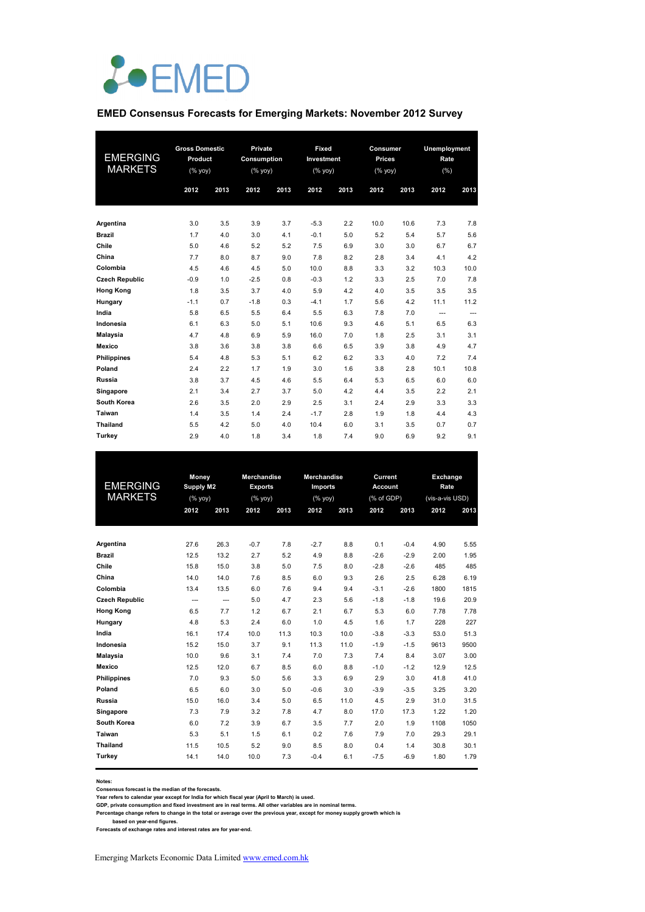

#### **EMED Consensus Forecasts for Emerging Markets: November 2012 Survey**

| <b>EMERGING</b><br><b>MARKETS</b> | <b>Gross Domestic</b><br>Product<br>(% yoy) |      |        |      | <b>Private</b><br>Consumption<br>(% yoy) |      | Fixed<br>Investment<br>(% yoy) |      | Consumer<br><b>Prices</b><br>(% yoy) |      | Unemployment<br>Rate<br>(% ) |  |
|-----------------------------------|---------------------------------------------|------|--------|------|------------------------------------------|------|--------------------------------|------|--------------------------------------|------|------------------------------|--|
|                                   | 2012                                        | 2013 | 2012   | 2013 | 2012                                     | 2013 | 2012                           | 2013 | 2012                                 | 2013 |                              |  |
| Argentina                         | 3.0                                         | 3.5  | 3.9    | 3.7  | $-5.3$                                   | 2.2  | 10.0                           | 10.6 | 7.3                                  | 7.8  |                              |  |
| <b>Brazil</b>                     | 1.7                                         | 4.0  | 3.0    | 4.1  | $-0.1$                                   | 5.0  | 5.2                            | 5.4  | 5.7                                  | 5.6  |                              |  |
| Chile                             | 5.0                                         | 4.6  | 5.2    | 5.2  | 7.5                                      | 6.9  | 3.0                            | 3.0  | 6.7                                  | 6.7  |                              |  |
| China                             | 7.7                                         | 8.0  | 8.7    | 9.0  | 7.8                                      | 8.2  | 2.8                            | 3.4  | 4.1                                  | 4.2  |                              |  |
| Colombia                          | 4.5                                         | 4.6  | 4.5    | 5.0  | 10.0                                     | 8.8  | 3.3                            | 3.2  | 10.3                                 | 10.0 |                              |  |
| <b>Czech Republic</b>             | $-0.9$                                      | 1.0  | $-2.5$ | 0.8  | $-0.3$                                   | 1.2  | 3.3                            | 2.5  | 7.0                                  | 7.8  |                              |  |
| <b>Hong Kong</b>                  | 1.8                                         | 3.5  | 3.7    | 4.0  | 5.9                                      | 4.2  | 4.0                            | 3.5  | 3.5                                  | 3.5  |                              |  |
| Hungary                           | $-1.1$                                      | 0.7  | $-1.8$ | 0.3  | $-4.1$                                   | 1.7  | 5.6                            | 4.2  | 11.1                                 | 11.2 |                              |  |
| India                             | 5.8                                         | 6.5  | 5.5    | 6.4  | 5.5                                      | 6.3  | 7.8                            | 7.0  | $\hspace{0.05cm} \ldots$             | ---  |                              |  |
| Indonesia                         | 6.1                                         | 6.3  | 5.0    | 5.1  | 10.6                                     | 9.3  | 4.6                            | 5.1  | 6.5                                  | 6.3  |                              |  |
| Malaysia                          | 4.7                                         | 4.8  | 6.9    | 5.9  | 16.0                                     | 7.0  | 1.8                            | 2.5  | 3.1                                  | 3.1  |                              |  |
| <b>Mexico</b>                     | 3.8                                         | 3.6  | 3.8    | 3.8  | 6.6                                      | 6.5  | 3.9                            | 3.8  | 4.9                                  | 4.7  |                              |  |
| <b>Philippines</b>                | 5.4                                         | 4.8  | 5.3    | 5.1  | 6.2                                      | 6.2  | 3.3                            | 4.0  | 7.2                                  | 7.4  |                              |  |
| Poland                            | 2.4                                         | 2.2  | 1.7    | 1.9  | 3.0                                      | 1.6  | 3.8                            | 2.8  | 10.1                                 | 10.8 |                              |  |
| Russia                            | 3.8                                         | 3.7  | 4.5    | 4.6  | 5.5                                      | 6.4  | 5.3                            | 6.5  | 6.0                                  | 6.0  |                              |  |
| Singapore                         | 2.1                                         | 3.4  | 2.7    | 3.7  | 5.0                                      | 4.2  | 4.4                            | 3.5  | 2.2                                  | 2.1  |                              |  |
| South Korea                       | 2.6                                         | 3.5  | 2.0    | 2.9  | 2.5                                      | 3.1  | 2.4                            | 2.9  | 3.3                                  | 3.3  |                              |  |
| <b>Taiwan</b>                     | 1.4                                         | 3.5  | 1.4    | 2.4  | $-1.7$                                   | 2.8  | 1.9                            | 1.8  | 4.4                                  | 4.3  |                              |  |
| <b>Thailand</b>                   | 5.5                                         | 4.2  | 5.0    | 4.0  | 10.4                                     | 6.0  | 3.1                            | 3.5  | 0.7                                  | 0.7  |                              |  |
| Turkey                            | 2.9                                         | 4.0  | 1.8    | 3.4  | 1.8                                      | 7.4  | 9.0                            | 6.9  | 9.2                                  | 9.1  |                              |  |

|                       | Money            |                | <b>Merchandise</b> |      | Merchandise |      | Current        |        | Exchange        |      |
|-----------------------|------------------|----------------|--------------------|------|-------------|------|----------------|--------|-----------------|------|
| <b>EMERGING</b>       | <b>Supply M2</b> |                | <b>Exports</b>     |      | Imports     |      | <b>Account</b> |        | Rate            |      |
| <b>MARKETS</b>        | (%               |                | (% yoy)            |      | (% yoy)     |      | (% of GDP)     |        | (vis-a-vis USD) |      |
|                       | 2012             | 2013           | 2012               | 2013 | 2012        | 2013 | 2012           | 2013   | 2012            | 2013 |
|                       |                  |                |                    |      |             |      |                |        |                 |      |
| Argentina             | 27.6             | 26.3           | $-0.7$             | 7.8  | $-2.7$      | 8.8  | 0.1            | $-0.4$ | 4.90            | 5.55 |
| <b>Brazil</b>         | 12.5             | 13.2           | 2.7                | 5.2  | 4.9         | 8.8  | $-2.6$         | $-2.9$ | 2.00            | 1.95 |
| Chile                 | 15.8             | 15.0           | 3.8                | 5.0  | 7.5         | 8.0  | $-2.8$         | $-2.6$ | 485             | 485  |
| China                 | 14.0             | 14.0           | 7.6                | 8.5  | 6.0         | 9.3  | 2.6            | 2.5    | 6.28            | 6.19 |
| Colombia              | 13.4             | 13.5           | 6.0                | 7.6  | 9.4         | 9.4  | $-3.1$         | $-2.6$ | 1800            | 1815 |
| <b>Czech Republic</b> | $\overline{a}$   | $\overline{a}$ | 5.0                | 4.7  | 2.3         | 5.6  | $-1.8$         | $-1.8$ | 19.6            | 20.9 |
| <b>Hong Kong</b>      | 6.5              | 7.7            | 1.2                | 6.7  | 2.1         | 6.7  | 5.3            | 6.0    | 7.78            | 7.78 |
| Hungary               | 4.8              | 5.3            | 2.4                | 6.0  | 1.0         | 4.5  | 1.6            | 1.7    | 228             | 227  |
| India                 | 16.1             | 17.4           | 10.0               | 11.3 | 10.3        | 10.0 | $-3.8$         | $-3.3$ | 53.0            | 51.3 |
| Indonesia             | 15.2             | 15.0           | 3.7                | 9.1  | 11.3        | 11.0 | $-1.9$         | $-1.5$ | 9613            | 9500 |
| <b>Malaysia</b>       | 10.0             | 9.6            | 3.1                | 7.4  | 7.0         | 7.3  | 7.4            | 8.4    | 3.07            | 3.00 |
| <b>Mexico</b>         | 12.5             | 12.0           | 6.7                | 8.5  | 6.0         | 8.8  | $-1.0$         | $-1.2$ | 12.9            | 12.5 |
| <b>Philippines</b>    | 7.0              | 9.3            | 5.0                | 5.6  | 3.3         | 6.9  | 2.9            | 3.0    | 41.8            | 41.0 |
| Poland                | 6.5              | 6.0            | 3.0                | 5.0  | $-0.6$      | 3.0  | $-3.9$         | $-3.5$ | 3.25            | 3.20 |
| Russia                | 15.0             | 16.0           | 3.4                | 5.0  | 6.5         | 11.0 | 4.5            | 2.9    | 31.0            | 31.5 |
| Singapore             | 7.3              | 7.9            | 3.2                | 7.8  | 4.7         | 8.0  | 17.0           | 17.3   | 1.22            | 1.20 |
| South Korea           | 6.0              | 7.2            | 3.9                | 6.7  | 3.5         | 7.7  | 2.0            | 1.9    | 1108            | 1050 |
| Taiwan                | 5.3              | 5.1            | 1.5                | 6.1  | 0.2         | 7.6  | 7.9            | 7.0    | 29.3            | 29.1 |
| <b>Thailand</b>       | 11.5             | 10.5           | 5.2                | 9.0  | 8.5         | 8.0  | 0.4            | 1.4    | 30.8            | 30.1 |
| Turkey                | 14.1             | 14.0           | 10.0               | 7.3  | $-0.4$      | 6.1  | $-7.5$         | $-6.9$ | 1.80            | 1.79 |
|                       |                  |                |                    |      |             |      |                |        |                 |      |

#### **Notes:**

Consensus forecast is the median of the forecasts.<br>Year refers to calendar year except for India for which fiscal year (April to March) is used.<br>GDP, private consumption and fixed investment are in real terms. All other va

Percentage change refers to change in the total or average over the previous year, except for money supply growth which is<br>based on year-end figures.<br>Forecasts of exchange rates and interest rates are for year-end.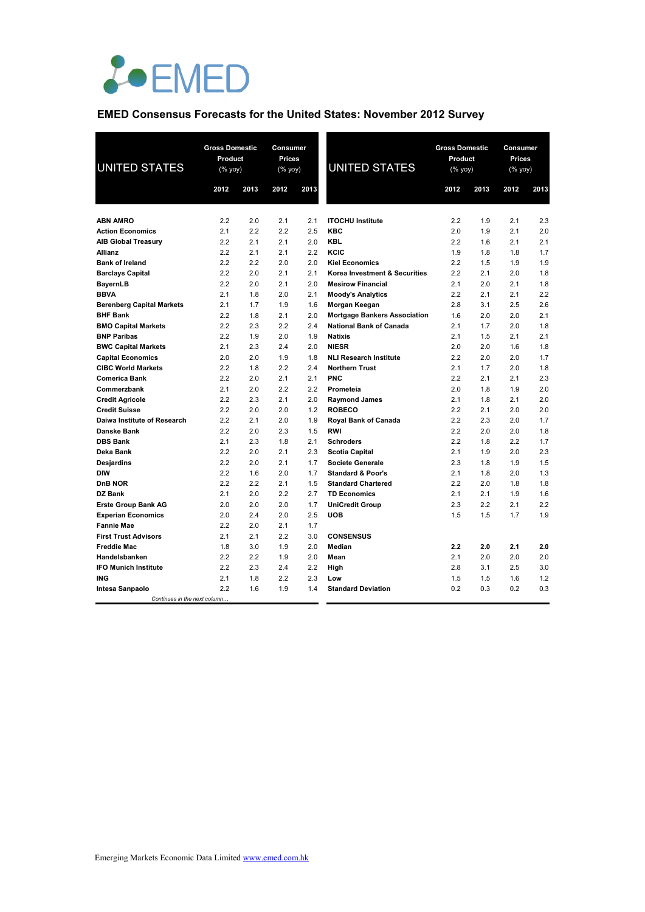

# **EMED Consensus Forecasts for the United States: November 2012 Survey**

| <b>UNITED STATES</b>             | <b>Gross Domestic</b><br>Product<br>$(\sqrt[6]{\frac{1}{20}}$ yoy) |      | Consumer<br>Prices<br>$(% \mathbf{y}\mathbf{y})$ (% $\mathbf{y}\mathbf{0}\mathbf{y}$ ) | <b>Gross Domestic</b><br>Product<br><b>UNITED STATES</b><br>(% yoy) |                                     |      | Consumer<br>Prices<br>$(%$ yoy) |      |      |
|----------------------------------|--------------------------------------------------------------------|------|----------------------------------------------------------------------------------------|---------------------------------------------------------------------|-------------------------------------|------|---------------------------------|------|------|
|                                  | 2012                                                               | 2013 | 2012                                                                                   | 2013                                                                |                                     | 2012 | 2013                            | 2012 | 2013 |
|                                  |                                                                    |      |                                                                                        |                                                                     |                                     |      |                                 |      |      |
| <b>ABN AMRO</b>                  | 2.2                                                                | 2.0  | 2.1                                                                                    | 2.1                                                                 | <b>ITOCHU Institute</b>             | 2.2  | 1.9                             | 2.1  | 2.3  |
| <b>Action Economics</b>          | 2.1                                                                | 2.2  | 2.2                                                                                    | 2.5                                                                 | <b>KBC</b>                          | 2.0  | 1.9                             | 2.1  | 2.0  |
| <b>AIB Global Treasury</b>       | 2.2                                                                | 2.1  | 2.1                                                                                    | 2.0                                                                 | <b>KBL</b>                          | 2.2  | 1.6                             | 2.1  | 2.1  |
| Allianz                          | 2.2                                                                | 2.1  | 2.1                                                                                    | 2.2                                                                 | KCIC                                | 1.9  | 1.8                             | 1.8  | 1.7  |
| <b>Bank of Ireland</b>           | 2.2                                                                | 2.2  | 2.0                                                                                    | 2.0                                                                 | <b>Kiel Economics</b>               | 2.2  | 1.5                             | 1.9  | 1.9  |
| <b>Barclays Capital</b>          | 2.2                                                                | 2.0  | 2.1                                                                                    | 2.1                                                                 | Korea Investment & Securities       | 2.2  | 2.1                             | 2.0  | 1.8  |
| <b>BayernLB</b>                  | 2.2                                                                | 2.0  | 2.1                                                                                    | 2.0                                                                 | <b>Mesirow Financial</b>            | 2.1  | 2.0                             | 2.1  | 1.8  |
| <b>BBVA</b>                      | 2.1                                                                | 1.8  | 2.0                                                                                    | 2.1                                                                 | <b>Moody's Analytics</b>            | 2.2  | 2.1                             | 2.1  | 2.2  |
| <b>Berenberg Capital Markets</b> | 2.1                                                                | 1.7  | 1.9                                                                                    | 1.6                                                                 | Morgan Keegan                       | 2.8  | 3.1                             | 2.5  | 2.6  |
| <b>BHF Bank</b>                  | 2.2                                                                | 1.8  | 2.1                                                                                    | 2.0                                                                 | <b>Mortgage Bankers Association</b> | 1.6  | 2.0                             | 2.0  | 2.1  |
| <b>BMO Capital Markets</b>       | 2.2                                                                | 2.3  | 2.2                                                                                    | 2.4                                                                 | <b>National Bank of Canada</b>      | 2.1  | 1.7                             | 2.0  | 1.8  |
| <b>BNP Paribas</b>               | 2.2                                                                | 1.9  | 2.0                                                                                    | 1.9                                                                 | <b>Natixis</b>                      | 2.1  | 1.5                             | 2.1  | 2.1  |
| <b>BWC Capital Markets</b>       | 2.1                                                                | 2.3  | 2.4                                                                                    | 2.0                                                                 | <b>NIESR</b>                        | 2.0  | 2.0                             | 1.6  | 1.8  |
| <b>Capital Economics</b>         | 2.0                                                                | 2.0  | 1.9                                                                                    | 1.8                                                                 | <b>NLI Research Institute</b>       | 2.2  | 2.0                             | 2.0  | 1.7  |
| <b>CIBC World Markets</b>        | 2.2                                                                | 1.8  | 2.2                                                                                    | 2.4                                                                 | <b>Northern Trust</b>               | 2.1  | 1.7                             | 2.0  | 1.8  |
| <b>Comerica Bank</b>             | 2.2                                                                | 2.0  | 2.1                                                                                    | 2.1                                                                 | PNC                                 | 2.2  | 2.1                             | 2.1  | 2.3  |
| Commerzbank                      | 2.1                                                                | 2.0  | 2.2                                                                                    | 2.2                                                                 | Prometeia                           | 2.0  | 1.8                             | 1.9  | 2.0  |
| <b>Credit Agricole</b>           | 2.2                                                                | 2.3  | 2.1                                                                                    | 2.0                                                                 | <b>Raymond James</b>                | 2.1  | 1.8                             | 2.1  | 2.0  |
| <b>Credit Suisse</b>             | 2.2                                                                | 2.0  | 2.0                                                                                    | 1.2                                                                 | <b>ROBECO</b>                       | 2.2  | 2.1                             | 2.0  | 2.0  |
| Daiwa Institute of Research      | 2.2                                                                | 2.1  | 2.0                                                                                    | 1.9                                                                 | Royal Bank of Canada                | 2.2  | 2.3                             | 2.0  | 1.7  |
| <b>Danske Bank</b>               | 2.2                                                                | 2.0  | 2.3                                                                                    | 1.5                                                                 | <b>RWI</b>                          | 2.2  | 2.0                             | 2.0  | 1.8  |
| <b>DBS Bank</b>                  | 2.1                                                                | 2.3  | 1.8                                                                                    | 2.1                                                                 | <b>Schroders</b>                    | 2.2  | 1.8                             | 2.2  | 1.7  |
| Deka Bank                        | 2.2                                                                | 2.0  | 2.1                                                                                    | 2.3                                                                 | <b>Scotia Capital</b>               | 2.1  | 1.9                             | 2.0  | 2.3  |
| Desjardins                       | 2.2                                                                | 2.0  | 2.1                                                                                    | 1.7                                                                 | <b>Societe Generale</b>             | 2.3  | 1.8                             | 1.9  | 1.5  |
| <b>DIW</b>                       | 2.2                                                                | 1.6  | 2.0                                                                                    | 1.7                                                                 | <b>Standard &amp; Poor's</b>        | 2.1  | 1.8                             | 2.0  | 1.3  |
| <b>DnB NOR</b>                   | 2.2                                                                | 2.2  | 2.1                                                                                    | 1.5                                                                 | <b>Standard Chartered</b>           | 2.2  | 2.0                             | 1.8  | 1.8  |
| DZ Bank                          | 2.1                                                                | 2.0  | 2.2                                                                                    | 2.7                                                                 | <b>TD Economics</b>                 | 2.1  | 2.1                             | 1.9  | 1.6  |
| <b>Erste Group Bank AG</b>       | 2.0                                                                | 2.0  | 2.0                                                                                    | 1.7                                                                 | <b>UniCredit Group</b>              | 2.3  | 2.2                             | 2.1  | 2.2  |
| <b>Experian Economics</b>        | 2.0                                                                | 2.4  | 2.0                                                                                    | 2.5                                                                 | <b>UOB</b>                          | 1.5  | 1.5                             | 1.7  | 1.9  |
| <b>Fannie Mae</b>                | 2.2                                                                | 2.0  | 2.1                                                                                    | 1.7                                                                 |                                     |      |                                 |      |      |
| <b>First Trust Advisors</b>      | 2.1                                                                | 2.1  | 2.2                                                                                    | 3.0                                                                 | <b>CONSENSUS</b>                    |      |                                 |      |      |
| <b>Freddie Mac</b>               | 1.8                                                                | 3.0  | 1.9                                                                                    | 2.0                                                                 | Median                              | 2.2  | 2.0                             | 2.1  | 2.0  |
| Handelsbanken                    | 2.2                                                                | 2.2  | 1.9                                                                                    | 2.0                                                                 | Mean                                | 2.1  | 2.0                             | 2.0  | 2.0  |
| <b>IFO Munich Institute</b>      | 2.2                                                                | 2.3  | 2.4                                                                                    | 2.2                                                                 | High                                | 2.8  | 3.1                             | 2.5  | 3.0  |
| ING                              | 2.1                                                                | 1.8  | 2.2                                                                                    | 2.3                                                                 | Low                                 | 1.5  | 1.5                             | 1.6  | 1.2  |
| Intesa Sanpaolo                  | 2.2                                                                | 1.6  | 1.9                                                                                    | 1.4                                                                 | <b>Standard Deviation</b>           | 0.2  | 0.3                             | 0.2  | 0.3  |
| Continues in the next column.    |                                                                    |      |                                                                                        |                                                                     |                                     |      |                                 |      |      |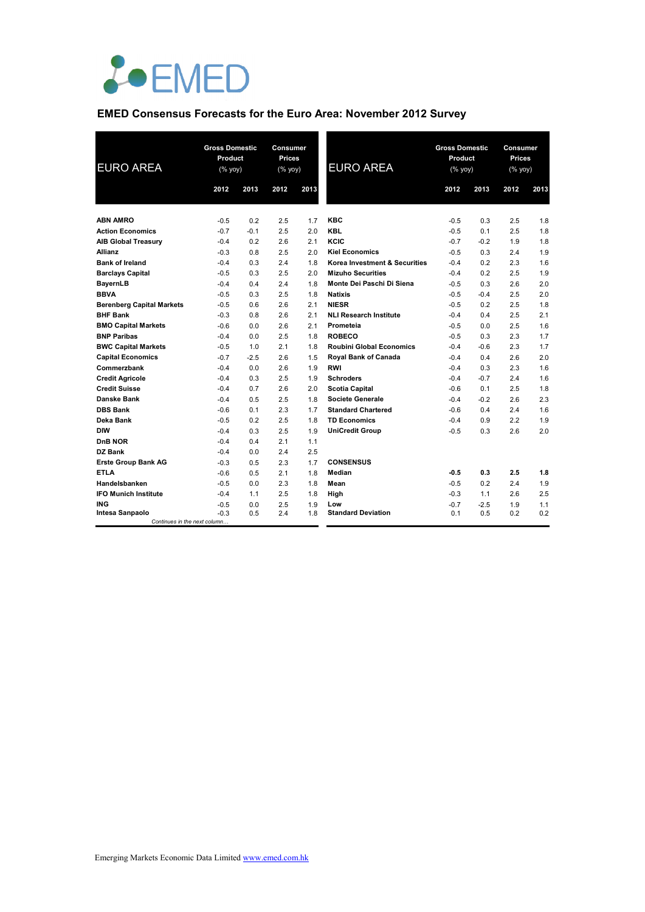

### **EMED Consensus Forecasts for the Euro Area: November 2012 Survey**

| <b>EURO AREA</b>                                | <b>Gross Domestic</b><br>Product<br>(% yoy) |        | Consumer<br><b>Prices</b><br>(% yoy) |      | <b>EURO AREA</b>                | <b>Gross Domestic</b><br>Product<br>(% yoy) |        | Consumer<br><b>Prices</b><br>(% yoy) |      |
|-------------------------------------------------|---------------------------------------------|--------|--------------------------------------|------|---------------------------------|---------------------------------------------|--------|--------------------------------------|------|
|                                                 | 2012                                        | 2013   | 2012                                 | 2013 |                                 | 2012                                        | 2013   | 2012                                 | 2013 |
| <b>ABN AMRO</b>                                 | $-0.5$                                      | 0.2    | 2.5                                  | 1.7  | <b>KBC</b>                      | $-0.5$                                      | 0.3    | 2.5                                  | 1.8  |
| <b>Action Economics</b>                         | $-0.7$                                      | $-0.1$ | 2.5                                  | 2.0  | <b>KBL</b>                      | $-0.5$                                      | 0.1    | 2.5                                  | 1.8  |
| <b>AIB Global Treasury</b>                      | $-0.4$                                      | 0.2    | 2.6                                  | 2.1  | KCIC                            | $-0.7$                                      | $-0.2$ | 1.9                                  | 1.8  |
| <b>Allianz</b>                                  | $-0.3$                                      | 0.8    | 2.5                                  | 2.0  | <b>Kiel Economics</b>           | $-0.5$                                      | 0.3    | 2.4                                  | 1.9  |
| <b>Bank of Ireland</b>                          | $-0.4$                                      | 0.3    | 2.4                                  | 1.8  | Korea Investment & Securities   | $-0.4$                                      | 0.2    | 2.3                                  | 1.6  |
| <b>Barclays Capital</b>                         | $-0.5$                                      | 0.3    | 2.5                                  | 2.0  | <b>Mizuho Securities</b>        | $-0.4$                                      | 0.2    | 2.5                                  | 1.9  |
| BayernLB                                        | $-0.4$                                      | 0.4    | 2.4                                  | 1.8  | Monte Dei Paschi Di Siena       | $-0.5$                                      | 0.3    | 2.6                                  | 2.0  |
| <b>BBVA</b>                                     | $-0.5$                                      | 0.3    | 2.5                                  | 1.8  | <b>Natixis</b>                  | $-0.5$                                      | $-0.4$ | 2.5                                  | 2.0  |
| <b>Berenberg Capital Markets</b>                | $-0.5$                                      | 0.6    | 2.6                                  | 2.1  | <b>NIESR</b>                    | $-0.5$                                      | 0.2    | 2.5                                  | 1.8  |
| <b>BHF Bank</b>                                 | $-0.3$                                      | 0.8    | 2.6                                  | 2.1  | <b>NLI Research Institute</b>   | $-0.4$                                      | 0.4    | 2.5                                  | 2.1  |
| <b>BMO Capital Markets</b>                      | $-0.6$                                      | 0.0    | 2.6                                  | 2.1  | Prometeia                       | $-0.5$                                      | 0.0    | 2.5                                  | 1.6  |
| <b>BNP Paribas</b>                              | $-0.4$                                      | 0.0    | 2.5                                  | 1.8  | <b>ROBECO</b>                   | $-0.5$                                      | 0.3    | 2.3                                  | 1.7  |
| <b>BWC Capital Markets</b>                      | $-0.5$                                      | 1.0    | 2.1                                  | 1.8  | <b>Roubini Global Economics</b> | $-0.4$                                      | $-0.6$ | 2.3                                  | 1.7  |
| <b>Capital Economics</b>                        | $-0.7$                                      | $-2.5$ | 2.6                                  | 1.5  | <b>Royal Bank of Canada</b>     | $-0.4$                                      | 0.4    | 2.6                                  | 2.0  |
| Commerzbank                                     | $-0.4$                                      | 0.0    | 2.6                                  | 1.9  | <b>RWI</b>                      | $-0.4$                                      | 0.3    | 2.3                                  | 1.6  |
| <b>Credit Agricole</b>                          | $-0.4$                                      | 0.3    | 2.5                                  | 1.9  | <b>Schroders</b>                | $-0.4$                                      | $-0.7$ | 2.4                                  | 1.6  |
| <b>Credit Suisse</b>                            | $-0.4$                                      | 0.7    | 2.6                                  | 2.0  | <b>Scotia Capital</b>           | $-0.6$                                      | 0.1    | 2.5                                  | 1.8  |
| Danske Bank                                     | $-0.4$                                      | 0.5    | 2.5                                  | 1.8  | Societe Generale                | $-0.4$                                      | $-0.2$ | 2.6                                  | 2.3  |
| <b>DBS Bank</b>                                 | $-0.6$                                      | 0.1    | 2.3                                  | 1.7  | <b>Standard Chartered</b>       | $-0.6$                                      | 0.4    | 2.4                                  | 1.6  |
| Deka Bank                                       | $-0.5$                                      | 0.2    | 2.5                                  | 1.8  | <b>TD Economics</b>             | $-0.4$                                      | 0.9    | 2.2                                  | 1.9  |
| <b>DIW</b>                                      | $-0.4$                                      | 0.3    | 2.5                                  | 1.9  | <b>UniCredit Group</b>          | $-0.5$                                      | 0.3    | 2.6                                  | 2.0  |
| DnB NOR                                         | $-0.4$                                      | 0.4    | 2.1                                  | 1.1  |                                 |                                             |        |                                      |      |
| DZ Bank                                         | $-0.4$                                      | 0.0    | 2.4                                  | 2.5  |                                 |                                             |        |                                      |      |
| <b>Erste Group Bank AG</b>                      | $-0.3$                                      | 0.5    | 2.3                                  | 1.7  | <b>CONSENSUS</b>                |                                             |        |                                      |      |
| <b>ETLA</b>                                     | $-0.6$                                      | 0.5    | 2.1                                  | 1.8  | Median                          | $-0.5$                                      | 0.3    | 2.5                                  | 1.8  |
| Handelsbanken                                   | $-0.5$                                      | 0.0    | 2.3                                  | 1.8  | Mean                            | $-0.5$                                      | 0.2    | 2.4                                  | 1.9  |
| <b>IFO Munich Institute</b>                     | $-0.4$                                      | 1.1    | 2.5                                  | 1.8  | High                            | $-0.3$                                      | 1.1    | 2.6                                  | 2.5  |
| <b>ING</b>                                      | $-0.5$                                      | 0.0    | 2.5                                  | 1.9  | Low                             | $-0.7$                                      | $-2.5$ | 1.9                                  | 1.1  |
| Intesa Sanpaolo<br>Continues in the next column | $-0.3$                                      | 0.5    | 2.4                                  | 1.8  | <b>Standard Deviation</b>       | 0.1                                         | 0.5    | 0.2                                  | 0.2  |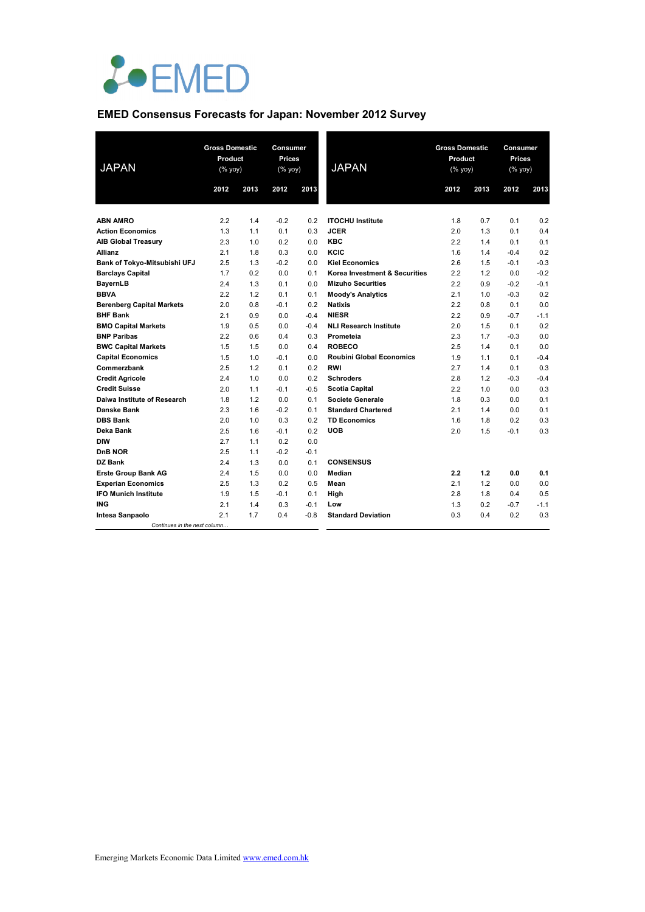

# **EMED Consensus Forecasts for Japan: November 2012 Survey**

| <b>JAPAN</b>                     | <b>Gross Domestic</b><br>Product<br>(% yoy) |      | Consumer<br>Prices<br>(% yoy) |        | <b>JAPAN</b>                    | <b>Gross Domestic</b><br>Product<br>$(% \overline{y})$ (% yoy) |      | <b>Consumer</b><br><b>Prices</b><br>(% yoy) |        |
|----------------------------------|---------------------------------------------|------|-------------------------------|--------|---------------------------------|----------------------------------------------------------------|------|---------------------------------------------|--------|
|                                  | 2012                                        | 2013 | 2012                          | 2013   |                                 | 2012                                                           | 2013 | 2012                                        | 2013   |
| <b>ABN AMRO</b>                  | 2.2                                         | 1.4  | $-0.2$                        | 0.2    | <b>ITOCHU</b> Institute         | 1.8                                                            | 0.7  | 0.1                                         | 0.2    |
| <b>Action Economics</b>          | 1.3                                         | 1.1  | 0.1                           | 0.3    | <b>JCER</b>                     | 2.0                                                            | 1.3  | 0.1                                         | 0.4    |
| <b>AIB Global Treasury</b>       | 2.3                                         | 1.0  | 0.2                           | 0.0    | <b>KBC</b>                      | 2.2                                                            | 1.4  | 0.1                                         | 0.1    |
| <b>Allianz</b>                   | 2.1                                         | 1.8  | 0.3                           | 0.0    | KCIC                            | 1.6                                                            | 1.4  | $-0.4$                                      | 0.2    |
| Bank of Tokyo-Mitsubishi UFJ     | 2.5                                         | 1.3  | $-0.2$                        | 0.0    | <b>Kiel Economics</b>           | 2.6                                                            | 1.5  | $-0.1$                                      | $-0.3$ |
| <b>Barclays Capital</b>          | 1.7                                         | 0.2  | 0.0                           | 0.1    | Korea Investment & Securities   | 2.2                                                            | 1.2  | 0.0                                         | $-0.2$ |
| BayernLB                         | 2.4                                         | 1.3  | 0.1                           | 0.0    | <b>Mizuho Securities</b>        | 2.2                                                            | 0.9  | $-0.2$                                      | $-0.1$ |
| <b>BBVA</b>                      | 2.2                                         | 1.2  | 0.1                           | 0.1    | <b>Moody's Analytics</b>        | 2.1                                                            | 1.0  | $-0.3$                                      | 0.2    |
| <b>Berenberg Capital Markets</b> | 2.0                                         | 0.8  | $-0.1$                        | 0.2    | <b>Natixis</b>                  | 2.2                                                            | 0.8  | 0.1                                         | 0.0    |
| <b>BHF Bank</b>                  | 2.1                                         | 0.9  | 0.0                           | $-0.4$ | <b>NIESR</b>                    | 2.2                                                            | 0.9  | $-0.7$                                      | $-1.1$ |
| <b>BMO Capital Markets</b>       | 1.9                                         | 0.5  | 0.0                           | $-0.4$ | <b>NLI Research Institute</b>   | 2.0                                                            | 1.5  | 0.1                                         | 0.2    |
| <b>BNP Paribas</b>               | 2.2                                         | 0.6  | 0.4                           | 0.3    | Prometeia                       | 2.3                                                            | 1.7  | $-0.3$                                      | 0.0    |
| <b>BWC Capital Markets</b>       | 1.5                                         | 1.5  | 0.0                           | 0.4    | <b>ROBECO</b>                   | 2.5                                                            | 1.4  | 0.1                                         | 0.0    |
| <b>Capital Economics</b>         | 1.5                                         | 1.0  | $-0.1$                        | 0.0    | <b>Roubini Global Economics</b> | 1.9                                                            | 1.1  | 0.1                                         | $-0.4$ |
| Commerzbank                      | 2.5                                         | 1.2  | 0.1                           | 0.2    | <b>RWI</b>                      | 2.7                                                            | 1.4  | 0.1                                         | 0.3    |
| <b>Credit Agricole</b>           | 2.4                                         | 1.0  | 0.0                           | 0.2    | <b>Schroders</b>                | 2.8                                                            | 1.2  | $-0.3$                                      | $-0.4$ |
| <b>Credit Suisse</b>             | 2.0                                         | 1.1  | $-0.1$                        | $-0.5$ | <b>Scotia Capital</b>           | 2.2                                                            | 1.0  | 0.0                                         | 0.3    |
| Daiwa Institute of Research      | 1.8                                         | 1.2  | 0.0                           | 0.1    | <b>Societe Generale</b>         | 1.8                                                            | 0.3  | 0.0                                         | 0.1    |
| <b>Danske Bank</b>               | 2.3                                         | 1.6  | $-0.2$                        | 0.1    | <b>Standard Chartered</b>       | 2.1                                                            | 1.4  | 0.0                                         | 0.1    |
| <b>DBS Bank</b>                  | 2.0                                         | 1.0  | 0.3                           | 0.2    | <b>TD Economics</b>             | 1.6                                                            | 1.8  | 0.2                                         | 0.3    |
| Deka Bank                        | 2.5                                         | 1.6  | $-0.1$                        | 0.2    | <b>UOB</b>                      | 2.0                                                            | 1.5  | $-0.1$                                      | 0.3    |
| <b>DIW</b>                       | 2.7                                         | 1.1  | 0.2                           | 0.0    |                                 |                                                                |      |                                             |        |
| DnB NOR                          | 2.5                                         | 1.1  | $-0.2$                        | $-0.1$ |                                 |                                                                |      |                                             |        |
| DZ Bank                          | 2.4                                         | 1.3  | 0.0                           | 0.1    | <b>CONSENSUS</b>                |                                                                |      |                                             |        |
| <b>Erste Group Bank AG</b>       | 2.4                                         | 1.5  | 0.0                           | 0.0    | Median                          | 2.2                                                            | 1.2  | 0.0                                         | 0.1    |
| <b>Experian Economics</b>        | 2.5                                         | 1.3  | 0.2                           | 0.5    | Mean                            | 2.1                                                            | 1.2  | 0.0                                         | 0.0    |
| <b>IFO Munich Institute</b>      | 1.9                                         | 1.5  | $-0.1$                        | 0.1    | High                            | 2.8                                                            | 1.8  | 0.4                                         | 0.5    |
| <b>ING</b>                       | 2.1                                         | 1.4  | 0.3                           | $-0.1$ | Low                             | 1.3                                                            | 0.2  | $-0.7$                                      | $-1.1$ |
| Intesa Sanpaolo                  | 2.1                                         | 1.7  | 0.4                           | $-0.8$ | <b>Standard Deviation</b>       | 0.3                                                            | 0.4  | 0.2                                         | 0.3    |
| Continues in the next column     |                                             |      |                               |        |                                 |                                                                |      |                                             |        |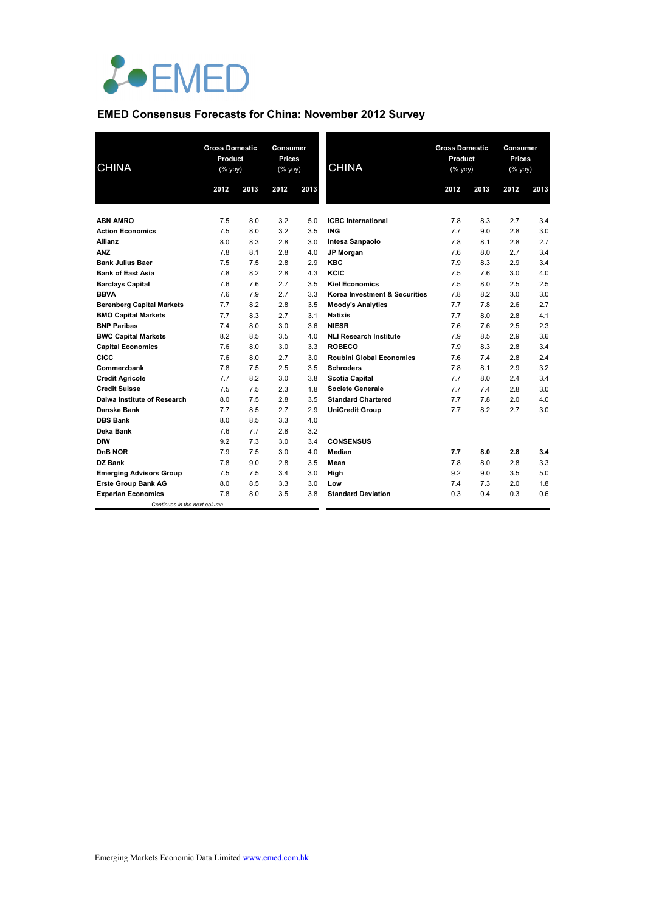

## **EMED Consensus Forecasts for China: November 2012 Survey**

| <b>CHINA</b>                     | <b>Gross Domestic</b><br>Product<br>(% yoy) |      | Consumer<br><b>Prices</b><br>$(\%$ yoy) |      | <b>CHINA</b>                    | <b>Gross Domestic</b><br>Product<br>(% yoy) |      | Consumer<br><b>Prices</b><br>(% yoy) |      |
|----------------------------------|---------------------------------------------|------|-----------------------------------------|------|---------------------------------|---------------------------------------------|------|--------------------------------------|------|
|                                  | 2012                                        | 2013 | 2012                                    | 2013 |                                 | 2012                                        | 2013 | 2012                                 | 2013 |
|                                  |                                             |      |                                         |      |                                 |                                             |      |                                      |      |
| <b>ABN AMRO</b>                  | 7.5                                         | 8.0  | 3.2                                     | 5.0  | <b>ICBC</b> International       | 7.8                                         | 8.3  | 2.7                                  | 3.4  |
| <b>Action Economics</b>          | 7.5                                         | 8.0  | 3.2                                     | 3.5  | <b>ING</b>                      | 7.7                                         | 9.0  | 2.8                                  | 3.0  |
| Allianz                          | 8.0                                         | 8.3  | 2.8                                     | 3.0  | Intesa Sanpaolo                 | 7.8                                         | 8.1  | 2.8                                  | 2.7  |
| <b>ANZ</b>                       | 7.8                                         | 8.1  | 2.8                                     | 4.0  | <b>JP Morgan</b>                | 7.6                                         | 8.0  | 2.7                                  | 3.4  |
| <b>Bank Julius Baer</b>          | 7.5                                         | 7.5  | 2.8                                     | 2.9  | <b>KBC</b>                      | 7.9                                         | 8.3  | 2.9                                  | 3.4  |
| <b>Bank of East Asia</b>         | 7.8                                         | 8.2  | 2.8                                     | 4.3  | KCIC                            | 7.5                                         | 7.6  | 3.0                                  | 4.0  |
| <b>Barclays Capital</b>          | 7.6                                         | 7.6  | 2.7                                     | 3.5  | <b>Kiel Economics</b>           | 7.5                                         | 8.0  | 2.5                                  | 2.5  |
| <b>BBVA</b>                      | 7.6                                         | 7.9  | 2.7                                     | 3.3  | Korea Investment & Securities   | 7.8                                         | 8.2  | 3.0                                  | 3.0  |
| <b>Berenberg Capital Markets</b> | 7.7                                         | 8.2  | 2.8                                     | 3.5  | <b>Moody's Analytics</b>        | 7.7                                         | 7.8  | 2.6                                  | 2.7  |
| <b>BMO Capital Markets</b>       | 7.7                                         | 8.3  | 2.7                                     | 3.1  | <b>Natixis</b>                  | 7.7                                         | 8.0  | 2.8                                  | 4.1  |
| <b>BNP Paribas</b>               | 7.4                                         | 8.0  | 3.0                                     | 3.6  | <b>NIESR</b>                    | 7.6                                         | 7.6  | 2.5                                  | 2.3  |
| <b>BWC Capital Markets</b>       | 8.2                                         | 8.5  | 3.5                                     | 4.0  | <b>NLI Research Institute</b>   | 7.9                                         | 8.5  | 2.9                                  | 3.6  |
| <b>Capital Economics</b>         | 7.6                                         | 8.0  | 3.0                                     | 3.3  | <b>ROBECO</b>                   | 7.9                                         | 8.3  | 2.8                                  | 3.4  |
| CICC                             | 7.6                                         | 8.0  | 2.7                                     | 3.0  | <b>Roubini Global Economics</b> | 7.6                                         | 7.4  | 2.8                                  | 2.4  |
| Commerzbank                      | 7.8                                         | 7.5  | 2.5                                     | 3.5  | <b>Schroders</b>                | 7.8                                         | 8.1  | 2.9                                  | 3.2  |
| <b>Credit Agricole</b>           | 7.7                                         | 8.2  | 3.0                                     | 3.8  | <b>Scotia Capital</b>           | 7.7                                         | 8.0  | 2.4                                  | 3.4  |
| <b>Credit Suisse</b>             | 7.5                                         | 7.5  | 2.3                                     | 1.8  | <b>Societe Generale</b>         | 7.7                                         | 7.4  | 2.8                                  | 3.0  |
| Daiwa Institute of Research      | 8.0                                         | 7.5  | 2.8                                     | 3.5  | <b>Standard Chartered</b>       | 7.7                                         | 7.8  | 2.0                                  | 4.0  |
| <b>Danske Bank</b>               | 7.7                                         | 8.5  | 2.7                                     | 2.9  | <b>UniCredit Group</b>          | 7.7                                         | 8.2  | 2.7                                  | 3.0  |
| <b>DBS Bank</b>                  | 8.0                                         | 8.5  | 3.3                                     | 4.0  |                                 |                                             |      |                                      |      |
| Deka Bank                        | 7.6                                         | 7.7  | 2.8                                     | 3.2  |                                 |                                             |      |                                      |      |
| <b>DIW</b>                       | 9.2                                         | 7.3  | 3.0                                     | 3.4  | <b>CONSENSUS</b>                |                                             |      |                                      |      |
| DnB NOR                          | 7.9                                         | 7.5  | 3.0                                     | 4.0  | Median                          | 7.7                                         | 8.0  | 2.8                                  | 3.4  |
| DZ Bank                          | 7.8                                         | 9.0  | 2.8                                     | 3.5  | Mean                            | 7.8                                         | 8.0  | 2.8                                  | 3.3  |
| <b>Emerging Advisors Group</b>   | 7.5                                         | 7.5  | 3.4                                     | 3.0  | High                            | 9.2                                         | 9.0  | 3.5                                  | 5.0  |
| <b>Erste Group Bank AG</b>       | 8.0                                         | 8.5  | 3.3                                     | 3.0  | Low                             | 7.4                                         | 7.3  | 2.0                                  | 1.8  |
| <b>Experian Economics</b>        | 7.8                                         | 8.0  | 3.5                                     | 3.8  | <b>Standard Deviation</b>       | 0.3                                         | 0.4  | 0.3                                  | 0.6  |
| Continues in the next column     |                                             |      |                                         |      |                                 |                                             |      |                                      |      |